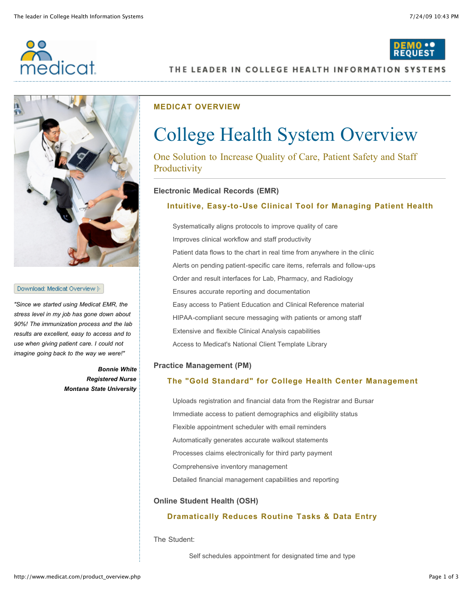

# THE LEADER IN COLLEGE HEALTH INFORMATION SYSTEMS



#### Download: Medicat Overview }

*"Since we started using Medicat EMR, the stress level in my job has gone down about 90%! The immunization process and the lab results are excellent, easy to access and to use when giving patient care. I could not imagine going back to the way we were!"*

> *Bonnie White Registered Nurse Montana State University*

## **MEDICAT OVERVIEW**

# College Health System Overview

One Solution to Increase Quality of Care, Patient Safety and Staff **Productivity** 

## **Electronic Medical Records (EMR)**

## **Intuitive, Easy-to-Use Clinical Tool for Managing Patient Health**

Systematically aligns protocols to improve quality of care Improves clinical workflow and staff productivity Patient data flows to the chart in real time from anywhere in the clinic Alerts on pending patient-specific care items, referrals and follow-ups Order and result interfaces for Lab, Pharmacy, and Radiology Ensures accurate reporting and documentation Easy access to Patient Education and Clinical Reference material HIPAA-compliant secure messaging with patients or among staff Extensive and flexible Clinical Analysis capabilities Access to Medicat's National Client Template Library

## **Practice Management (PM)**

## **The "Gold Standard" for College Health Center Management**

Uploads registration and financial data from the Registrar and Bursar Immediate access to patient demographics and eligibility status Flexible appointment scheduler with email reminders Automatically generates accurate walkout statements Processes claims electronically for third party payment Comprehensive inventory management Detailed financial management capabilities and reporting

## **Online Student Health (OSH)**

## **Dramatically Reduces Routine Tasks & Data Entry**

The Student:

Self schedules appointment for designated time and type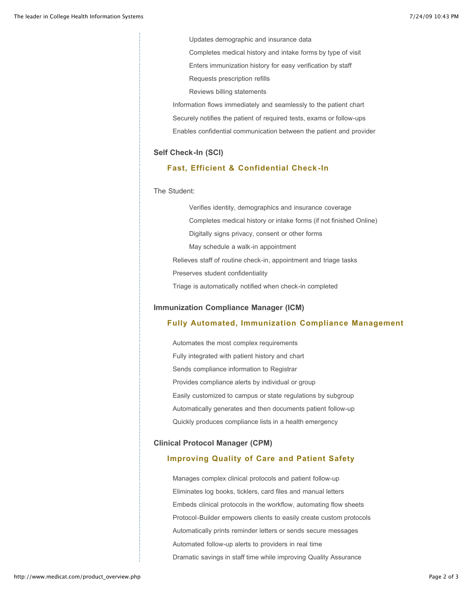Updates demographic and insurance data

Completes medical history and intake forms by type of visit

Enters immunization history for easy verification by staff

Requests prescription refills

Reviews billing statements

Information flows immediately and seamlessly to the patient chart

Securely notifies the patient of required tests, exams or follow-ups

Enables confidential communication between the patient and provider

#### **Self Check-In (SCI)**

## **Fast, Efficient & Confidential Check -In**

The Student:

Verifies identity, demographics and insurance coverage Completes medical history or intake forms (if not finished Online) Digitally signs privacy, consent or other forms May schedule a walk-in appointment Relieves staff of routine check-in, appointment and triage tasks Preserves student confidentiality Triage is automatically notified when check-in completed

#### **Immunization Compliance Manager (ICM)**

## **Fully Automated, Immunization Compliance Management**

Automates the most complex requirements Fully integrated with patient history and chart Sends compliance information to Registrar Provides compliance alerts by individual or group Easily customized to campus or state regulations by subgroup Automatically generates and then documents patient follow-up Quickly produces compliance lists in a health emergency

#### **Clinical Protocol Manager (CPM)**

#### **Improving Quality of Care and Patient Safety**

Manages complex clinical protocols and patient follow-up Eliminates log books, ticklers, card files and manual letters Embeds clinical protocols in the workflow, automating flow sheets Protocol-Builder empowers clients to easily create custom protocols Automatically prints reminder letters or sends secure messages Automated follow-up alerts to providers in real time Dramatic savings in staff time while improving Quality Assurance